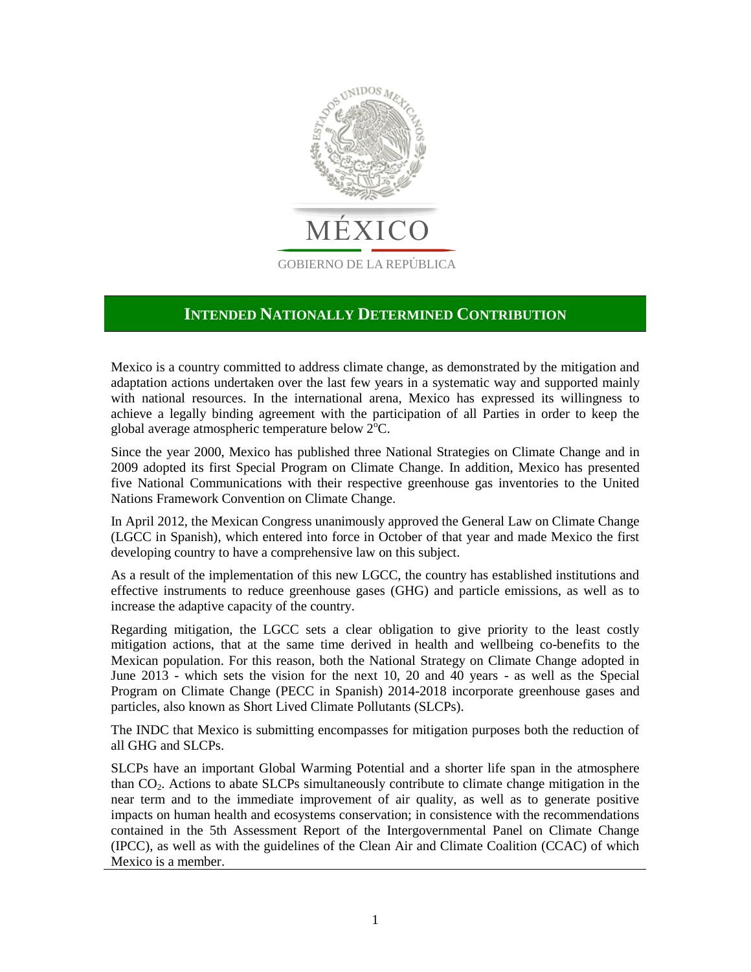

# **INTENDED NATIONALLY DETERMINED CONTRIBUTION**

Mexico is a country committed to address climate change, as demonstrated by the mitigation and adaptation actions undertaken over the last few years in a systematic way and supported mainly with national resources. In the international arena, Mexico has expressed its willingness to achieve a legally binding agreement with the participation of all Parties in order to keep the global average atmospheric temperature below  $2^{\circ}C$ .

Since the year 2000, Mexico has published three National Strategies on Climate Change and in 2009 adopted its first Special Program on Climate Change. In addition, Mexico has presented five National Communications with their respective greenhouse gas inventories to the United Nations Framework Convention on Climate Change.

In April 2012, the Mexican Congress unanimously approved the General Law on Climate Change (LGCC in Spanish), which entered into force in October of that year and made Mexico the first developing country to have a comprehensive law on this subject.

As a result of the implementation of this new LGCC, the country has established institutions and effective instruments to reduce greenhouse gases (GHG) and particle emissions, as well as to increase the adaptive capacity of the country.

Regarding mitigation, the LGCC sets a clear obligation to give priority to the least costly mitigation actions, that at the same time derived in health and wellbeing co-benefits to the Mexican population. For this reason, both the National Strategy on Climate Change adopted in June 2013 - which sets the vision for the next 10, 20 and 40 years - as well as the Special Program on Climate Change (PECC in Spanish) 2014-2018 incorporate greenhouse gases and particles, also known as Short Lived Climate Pollutants (SLCPs).

The INDC that Mexico is submitting encompasses for mitigation purposes both the reduction of all GHG and SLCPs.

SLCPs have an important Global Warming Potential and a shorter life span in the atmosphere than  $CO<sub>2</sub>$ . Actions to abate SLCPs simultaneously contribute to climate change mitigation in the near term and to the immediate improvement of air quality, as well as to generate positive impacts on human health and ecosystems conservation; in consistence with the recommendations contained in the 5th Assessment Report of the Intergovernmental Panel on Climate Change (IPCC), as well as with the guidelines of the Clean Air and Climate Coalition (CCAC) of which Mexico is a member.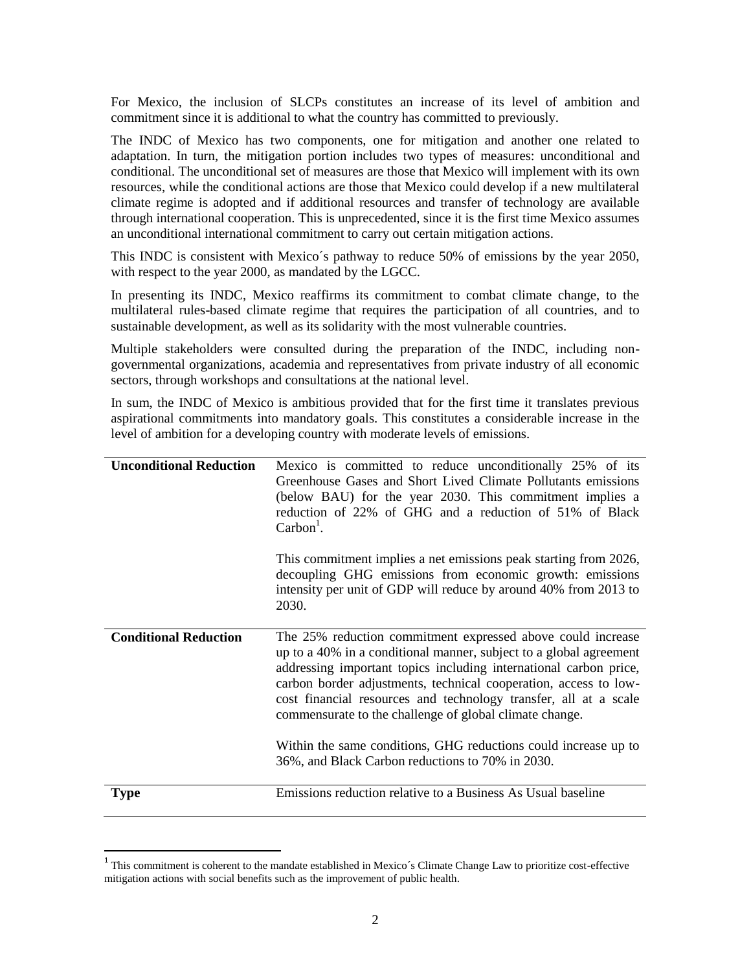For Mexico, the inclusion of SLCPs constitutes an increase of its level of ambition and commitment since it is additional to what the country has committed to previously.

The INDC of Mexico has two components, one for mitigation and another one related to adaptation. In turn, the mitigation portion includes two types of measures: unconditional and conditional. The unconditional set of measures are those that Mexico will implement with its own resources, while the conditional actions are those that Mexico could develop if a new multilateral climate regime is adopted and if additional resources and transfer of technology are available through international cooperation. This is unprecedented, since it is the first time Mexico assumes an unconditional international commitment to carry out certain mitigation actions.

This INDC is consistent with Mexico´s pathway to reduce 50% of emissions by the year 2050, with respect to the year 2000, as mandated by the LGCC.

In presenting its INDC, Mexico reaffirms its commitment to combat climate change, to the multilateral rules-based climate regime that requires the participation of all countries, and to sustainable development, as well as its solidarity with the most vulnerable countries.

Multiple stakeholders were consulted during the preparation of the INDC, including nongovernmental organizations, academia and representatives from private industry of all economic sectors, through workshops and consultations at the national level.

In sum, the INDC of Mexico is ambitious provided that for the first time it translates previous aspirational commitments into mandatory goals. This constitutes a considerable increase in the level of ambition for a developing country with moderate levels of emissions.

| <b>Unconditional Reduction</b> | Mexico is committed to reduce unconditionally 25% of its<br>Greenhouse Gases and Short Lived Climate Pollutants emissions<br>(below BAU) for the year 2030. This commitment implies a<br>reduction of 22% of GHG and a reduction of 51% of Black<br>$\rm Carbon1$ .                                                                                                                                                                                                          |
|--------------------------------|------------------------------------------------------------------------------------------------------------------------------------------------------------------------------------------------------------------------------------------------------------------------------------------------------------------------------------------------------------------------------------------------------------------------------------------------------------------------------|
|                                | This commitment implies a net emissions peak starting from 2026,<br>decoupling GHG emissions from economic growth: emissions<br>intensity per unit of GDP will reduce by around 40% from 2013 to<br>2030.                                                                                                                                                                                                                                                                    |
| <b>Conditional Reduction</b>   | The 25% reduction commitment expressed above could increase<br>up to a 40% in a conditional manner, subject to a global agreement<br>addressing important topics including international carbon price,<br>carbon border adjustments, technical cooperation, access to low-<br>cost financial resources and technology transfer, all at a scale<br>commensurate to the challenge of global climate change.<br>Within the same conditions, GHG reductions could increase up to |
|                                | 36%, and Black Carbon reductions to 70% in 2030.                                                                                                                                                                                                                                                                                                                                                                                                                             |
| Type                           | Emissions reduction relative to a Business As Usual baseline                                                                                                                                                                                                                                                                                                                                                                                                                 |

<sup>&</sup>lt;sup>1</sup> This commitment is coherent to the mandate established in Mexico's Climate Change Law to prioritize cost-effective mitigation actions with social benefits such as the improvement of public health.

 $\overline{a}$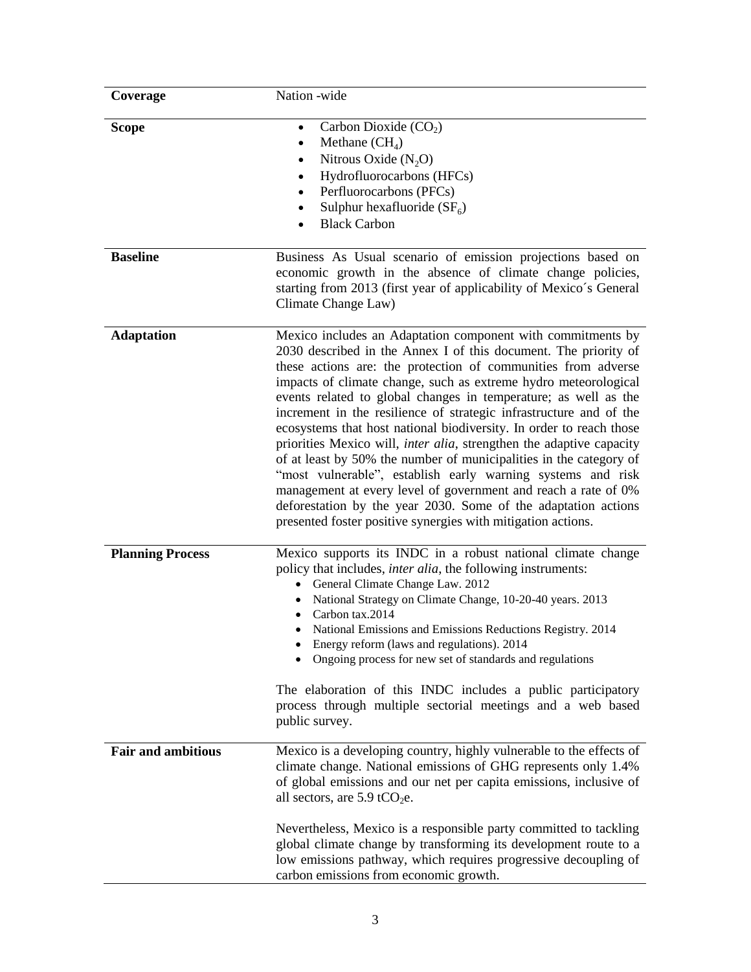| Coverage                  | Nation -wide                                                                                                                                                                                                                                                                                                                                                                                                                                                                                                                                                                                                                                                                                                                                                                                                                                                                                        |
|---------------------------|-----------------------------------------------------------------------------------------------------------------------------------------------------------------------------------------------------------------------------------------------------------------------------------------------------------------------------------------------------------------------------------------------------------------------------------------------------------------------------------------------------------------------------------------------------------------------------------------------------------------------------------------------------------------------------------------------------------------------------------------------------------------------------------------------------------------------------------------------------------------------------------------------------|
| <b>Scope</b>              | Carbon Dioxide $(CO2)$<br>$\bullet$<br>Methane $(CH_4)$<br>$\bullet$<br>Nitrous Oxide $(N, O)$<br>$\bullet$<br>Hydrofluorocarbons (HFCs)<br>$\bullet$<br>Perfluorocarbons (PFCs)<br>$\bullet$<br>Sulphur hexafluoride $(SF_6)$<br><b>Black Carbon</b><br>$\bullet$                                                                                                                                                                                                                                                                                                                                                                                                                                                                                                                                                                                                                                  |
| <b>Baseline</b>           | Business As Usual scenario of emission projections based on<br>economic growth in the absence of climate change policies,<br>starting from 2013 (first year of applicability of Mexico's General<br>Climate Change Law)                                                                                                                                                                                                                                                                                                                                                                                                                                                                                                                                                                                                                                                                             |
| <b>Adaptation</b>         | Mexico includes an Adaptation component with commitments by<br>2030 described in the Annex I of this document. The priority of<br>these actions are: the protection of communities from adverse<br>impacts of climate change, such as extreme hydro meteorological<br>events related to global changes in temperature; as well as the<br>increment in the resilience of strategic infrastructure and of the<br>ecosystems that host national biodiversity. In order to reach those<br>priorities Mexico will, inter alia, strengthen the adaptive capacity<br>of at least by 50% the number of municipalities in the category of<br>"most vulnerable", establish early warning systems and risk<br>management at every level of government and reach a rate of 0%<br>deforestation by the year 2030. Some of the adaptation actions<br>presented foster positive synergies with mitigation actions. |
| <b>Planning Process</b>   | Mexico supports its INDC in a robust national climate change<br>policy that includes, <i>inter alia</i> , the following instruments:<br>• General Climate Change Law. 2012<br>• National Strategy on Climate Change, 10-20-40 years. 2013<br>• Carbon tax.2014<br>National Emissions and Emissions Reductions Registry. 2014<br>Energy reform (laws and regulations). 2014<br>Ongoing process for new set of standards and regulations<br>The elaboration of this INDC includes a public participatory<br>process through multiple sectorial meetings and a web based<br>public survey.                                                                                                                                                                                                                                                                                                             |
| <b>Fair and ambitious</b> | Mexico is a developing country, highly vulnerable to the effects of<br>climate change. National emissions of GHG represents only 1.4%<br>of global emissions and our net per capita emissions, inclusive of<br>all sectors, are $5.9 \text{ tCO}_2$ e.                                                                                                                                                                                                                                                                                                                                                                                                                                                                                                                                                                                                                                              |
|                           | Nevertheless, Mexico is a responsible party committed to tackling<br>global climate change by transforming its development route to a<br>low emissions pathway, which requires progressive decoupling of<br>carbon emissions from economic growth.                                                                                                                                                                                                                                                                                                                                                                                                                                                                                                                                                                                                                                                  |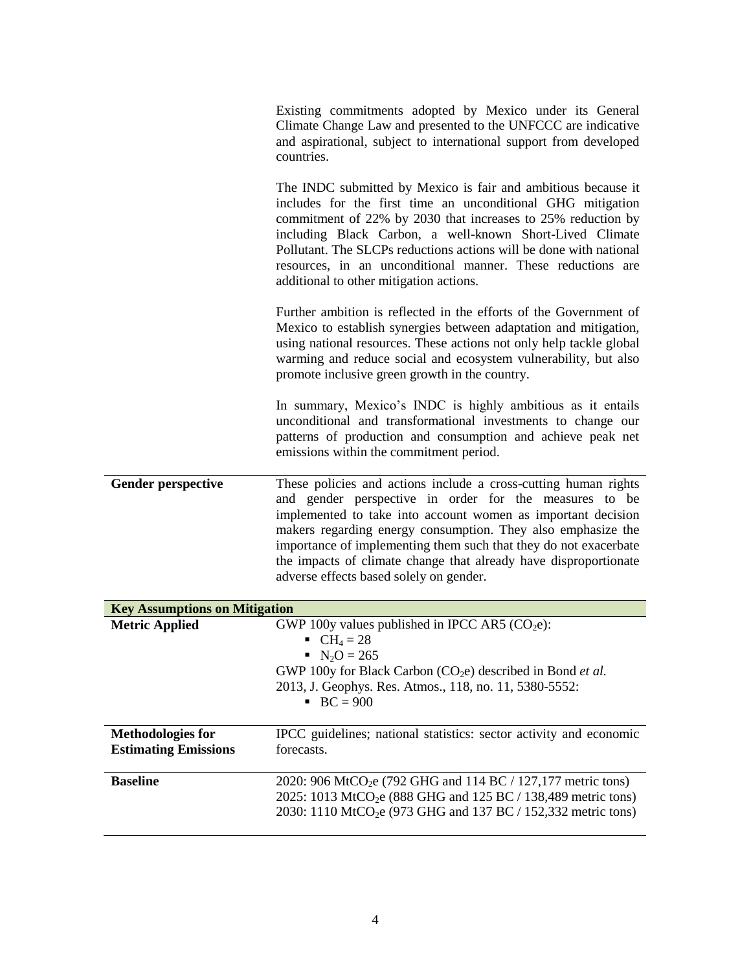|                                                         | Existing commitments adopted by Mexico under its General<br>Climate Change Law and presented to the UNFCCC are indicative<br>and aspirational, subject to international support from developed<br>countries.                                                                                                                                                                                                                                 |
|---------------------------------------------------------|----------------------------------------------------------------------------------------------------------------------------------------------------------------------------------------------------------------------------------------------------------------------------------------------------------------------------------------------------------------------------------------------------------------------------------------------|
|                                                         | The INDC submitted by Mexico is fair and ambitious because it<br>includes for the first time an unconditional GHG mitigation<br>commitment of 22% by 2030 that increases to 25% reduction by<br>including Black Carbon, a well-known Short-Lived Climate<br>Pollutant. The SLCPs reductions actions will be done with national<br>resources, in an unconditional manner. These reductions are<br>additional to other mitigation actions.     |
|                                                         | Further ambition is reflected in the efforts of the Government of<br>Mexico to establish synergies between adaptation and mitigation,<br>using national resources. These actions not only help tackle global<br>warming and reduce social and ecosystem vulnerability, but also<br>promote inclusive green growth in the country.                                                                                                            |
|                                                         | In summary, Mexico's INDC is highly ambitious as it entails<br>unconditional and transformational investments to change our<br>patterns of production and consumption and achieve peak net<br>emissions within the commitment period.                                                                                                                                                                                                        |
| <b>Gender perspective</b>                               | These policies and actions include a cross-cutting human rights<br>and gender perspective in order for the measures to be<br>implemented to take into account women as important decision<br>makers regarding energy consumption. They also emphasize the<br>importance of implementing them such that they do not exacerbate<br>the impacts of climate change that already have disproportionate<br>adverse effects based solely on gender. |
| <b>Key Assumptions on Mitigation</b>                    |                                                                                                                                                                                                                                                                                                                                                                                                                                              |
| <b>Metric Applied</b>                                   | GWP 100y values published in IPCC AR5 $(CO2e)$ :<br>$CH_4 = 28$<br>• $N_2O = 265$                                                                                                                                                                                                                                                                                                                                                            |
|                                                         | GWP 100y for Black Carbon ( $CO2e$ ) described in Bond <i>et al.</i><br>2013, J. Geophys. Res. Atmos., 118, no. 11, 5380-5552:<br>$BC = 900$                                                                                                                                                                                                                                                                                                 |
| <b>Methodologies for</b><br><b>Estimating Emissions</b> | IPCC guidelines; national statistics: sector activity and economic<br>forecasts.                                                                                                                                                                                                                                                                                                                                                             |
| <b>Baseline</b>                                         | 2020: 906 MtCO <sub>2</sub> e (792 GHG and 114 BC / 127,177 metric tons)<br>2025: 1013 MtCO <sub>2</sub> e (888 GHG and 125 BC / 138,489 metric tons)<br>2030: 1110 MtCO <sub>2</sub> e (973 GHG and 137 BC / 152,332 metric tons)                                                                                                                                                                                                           |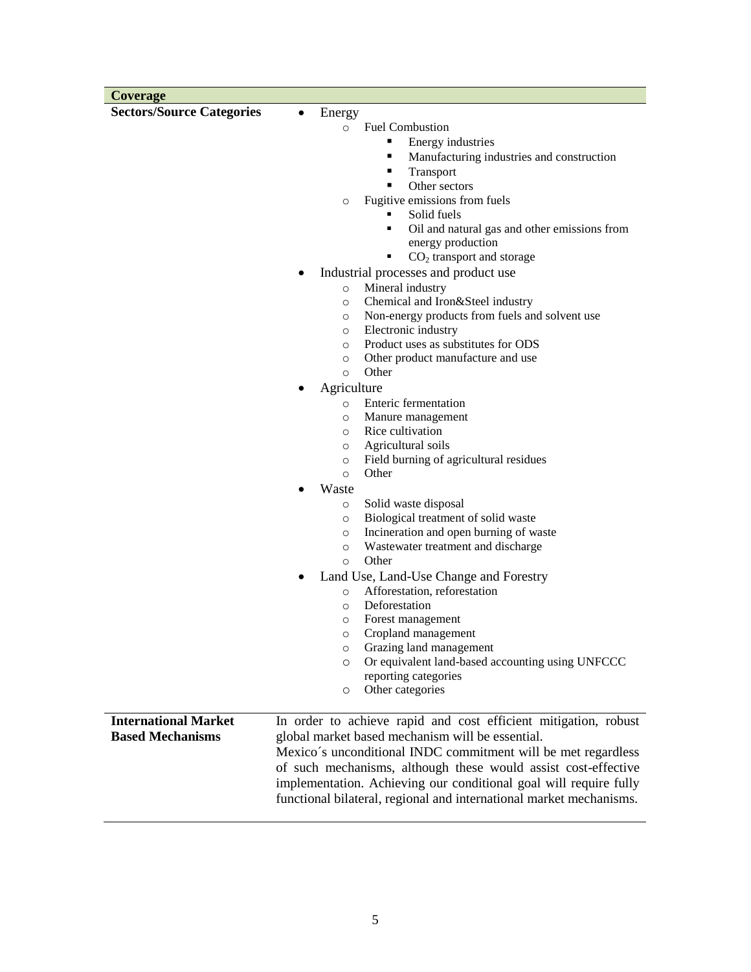| <b>Coverage</b>                                        |                                                                                                                                                                                                                                                                                                                                                                                                                                                                                                                                                                                                                                                                                                                                                                                                                                                                                                                                                                                                                                                                                                                                                                                                                                                                                                                                                                                                                                            |
|--------------------------------------------------------|--------------------------------------------------------------------------------------------------------------------------------------------------------------------------------------------------------------------------------------------------------------------------------------------------------------------------------------------------------------------------------------------------------------------------------------------------------------------------------------------------------------------------------------------------------------------------------------------------------------------------------------------------------------------------------------------------------------------------------------------------------------------------------------------------------------------------------------------------------------------------------------------------------------------------------------------------------------------------------------------------------------------------------------------------------------------------------------------------------------------------------------------------------------------------------------------------------------------------------------------------------------------------------------------------------------------------------------------------------------------------------------------------------------------------------------------|
| <b>Sectors/Source Categories</b>                       | Energy<br>٠<br><b>Fuel Combustion</b><br>$\circ$<br>Energy industries<br>Manufacturing industries and construction<br>п<br>Ξ<br>Transport<br>Other sectors<br>п<br>Fugitive emissions from fuels<br>$\circ$<br>Solid fuels<br>Oil and natural gas and other emissions from<br>٠<br>energy production<br>$CO2$ transport and storage<br>Industrial processes and product use<br>٠<br>Mineral industry<br>$\circ$<br>Chemical and Iron&Steel industry<br>$\circ$<br>Non-energy products from fuels and solvent use<br>$\circ$<br>Electronic industry<br>$\circ$<br>Product uses as substitutes for ODS<br>$\circ$<br>Other product manufacture and use<br>$\circ$<br>Other<br>$\circ$<br>Agriculture<br>Enteric fermentation<br>$\circ$<br>Manure management<br>$\circ$<br>Rice cultivation<br>$\circ$<br>Agricultural soils<br>$\circ$<br>Field burning of agricultural residues<br>$\circ$<br>Other<br>$\circ$<br>Waste<br>Solid waste disposal<br>$\circ$<br>Biological treatment of solid waste<br>$\circ$<br>Incineration and open burning of waste<br>$\circ$<br>Wastewater treatment and discharge<br>$\circ$<br>Other<br>$\circ$<br>Land Use, Land-Use Change and Forestry<br>Afforestation, reforestation<br>$\circ$<br>Deforestation<br>$\circ$<br>Forest management<br>O<br>Cropland management<br>$\circ$<br>Grazing land management<br>$\circ$<br>Or equivalent land-based accounting using UNFCCC<br>O<br>reporting categories |
|                                                        |                                                                                                                                                                                                                                                                                                                                                                                                                                                                                                                                                                                                                                                                                                                                                                                                                                                                                                                                                                                                                                                                                                                                                                                                                                                                                                                                                                                                                                            |
|                                                        | Other categories<br>$\circ$                                                                                                                                                                                                                                                                                                                                                                                                                                                                                                                                                                                                                                                                                                                                                                                                                                                                                                                                                                                                                                                                                                                                                                                                                                                                                                                                                                                                                |
| <b>International Market</b><br><b>Based Mechanisms</b> | In order to achieve rapid and cost efficient mitigation, robust<br>global market based mechanism will be essential.<br>Mexico's unconditional INDC commitment will be met regardless<br>of such mechanisms, although these would assist cost-effective<br>implementation. Achieving our conditional goal will require fully<br>functional bilateral, regional and international market mechanisms.                                                                                                                                                                                                                                                                                                                                                                                                                                                                                                                                                                                                                                                                                                                                                                                                                                                                                                                                                                                                                                         |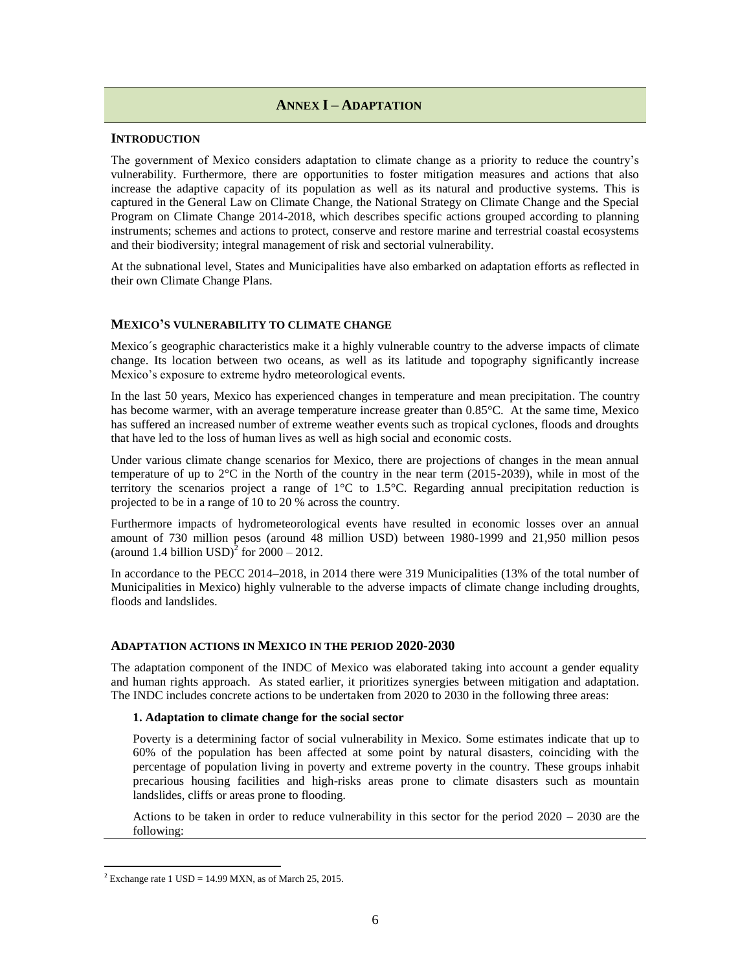# **ANNEX I – ADAPTATION**

#### **INTRODUCTION**

The government of Mexico considers adaptation to climate change as a priority to reduce the country's vulnerability. Furthermore, there are opportunities to foster mitigation measures and actions that also increase the adaptive capacity of its population as well as its natural and productive systems. This is captured in the General Law on Climate Change, the National Strategy on Climate Change and the Special Program on Climate Change 2014-2018, which describes specific actions grouped according to planning instruments; schemes and actions to protect, conserve and restore marine and terrestrial coastal ecosystems and their biodiversity; integral management of risk and sectorial vulnerability.

At the subnational level, States and Municipalities have also embarked on adaptation efforts as reflected in their own Climate Change Plans.

## **MEXICO'S VULNERABILITY TO CLIMATE CHANGE**

Mexico´s geographic characteristics make it a highly vulnerable country to the adverse impacts of climate change. Its location between two oceans, as well as its latitude and topography significantly increase Mexico's exposure to extreme hydro meteorological events.

In the last 50 years, Mexico has experienced changes in temperature and mean precipitation. The country has become warmer, with an average temperature increase greater than 0.85°C. At the same time, Mexico has suffered an increased number of extreme weather events such as tropical cyclones, floods and droughts that have led to the loss of human lives as well as high social and economic costs.

Under various climate change scenarios for Mexico, there are projections of changes in the mean annual temperature of up to 2°C in the North of the country in the near term (2015-2039), while in most of the territory the scenarios project a range of  $1^{\circ}C$  to 1.5 $^{\circ}C$ . Regarding annual precipitation reduction is projected to be in a range of 10 to 20 % across the country.

Furthermore impacts of hydrometeorological events have resulted in economic losses over an annual amount of 730 million pesos (around 48 million USD) between 1980-1999 and 21,950 million pesos (around 1.4 billion  $USD<sup>2</sup>$  for  $2000 - 2012$ .

In accordance to the PECC 2014–2018, in 2014 there were 319 Municipalities (13% of the total number of Municipalities in Mexico) highly vulnerable to the adverse impacts of climate change including droughts, floods and landslides.

## **ADAPTATION ACTIONS IN MEXICO IN THE PERIOD 2020-2030**

The adaptation component of the INDC of Mexico was elaborated taking into account a gender equality and human rights approach. As stated earlier, it prioritizes synergies between mitigation and adaptation. The INDC includes concrete actions to be undertaken from 2020 to 2030 in the following three areas:

#### **1. Adaptation to climate change for the social sector**

Poverty is a determining factor of social vulnerability in Mexico. Some estimates indicate that up to 60% of the population has been affected at some point by natural disasters, coinciding with the percentage of population living in poverty and extreme poverty in the country. These groups inhabit precarious housing facilities and high-risks areas prone to climate disasters such as mountain landslides, cliffs or areas prone to flooding.

Actions to be taken in order to reduce vulnerability in this sector for the period 2020 – 2030 are the following:

 $\ddot{\phantom{a}}$ 

<sup>&</sup>lt;sup>2</sup> Exchange rate 1 USD = 14.99 MXN, as of March 25, 2015.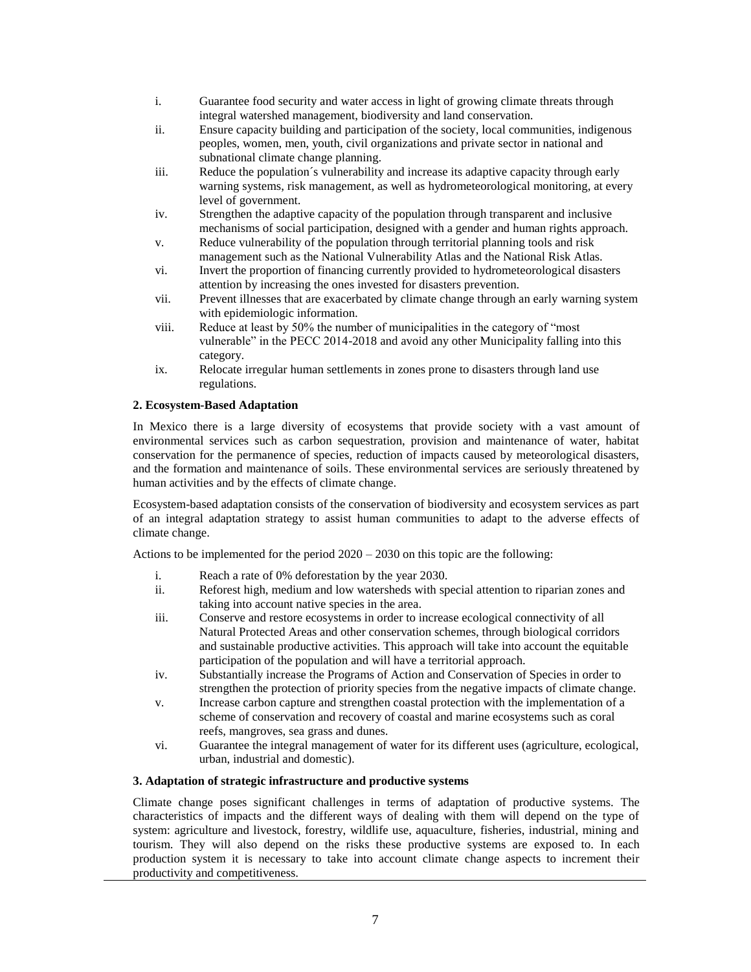- i. Guarantee food security and water access in light of growing climate threats through integral watershed management, biodiversity and land conservation.
- ii. Ensure capacity building and participation of the society, local communities, indigenous peoples, women, men, youth, civil organizations and private sector in national and subnational climate change planning.
- iii. Reduce the population´s vulnerability and increase its adaptive capacity through early warning systems, risk management, as well as hydrometeorological monitoring, at every level of government.
- iv. Strengthen the adaptive capacity of the population through transparent and inclusive mechanisms of social participation, designed with a gender and human rights approach.
- v. Reduce vulnerability of the population through territorial planning tools and risk management such as the National Vulnerability Atlas and the National Risk Atlas.
- vi. Invert the proportion of financing currently provided to hydrometeorological disasters attention by increasing the ones invested for disasters prevention.
- vii. Prevent illnesses that are exacerbated by climate change through an early warning system with epidemiologic information.
- viii. Reduce at least by 50% the number of municipalities in the category of "most vulnerable" in the PECC 2014-2018 and avoid any other Municipality falling into this category.
- ix. Relocate irregular human settlements in zones prone to disasters through land use regulations.

## **2. Ecosystem-Based Adaptation**

In Mexico there is a large diversity of ecosystems that provide society with a vast amount of environmental services such as carbon sequestration, provision and maintenance of water, habitat conservation for the permanence of species, reduction of impacts caused by meteorological disasters, and the formation and maintenance of soils. These environmental services are seriously threatened by human activities and by the effects of climate change.

Ecosystem-based adaptation consists of the conservation of biodiversity and ecosystem services as part of an integral adaptation strategy to assist human communities to adapt to the adverse effects of climate change.

Actions to be implemented for the period 2020 – 2030 on this topic are the following:

- i. Reach a rate of 0% deforestation by the year 2030.
- ii. Reforest high, medium and low watersheds with special attention to riparian zones and taking into account native species in the area.
- iii. Conserve and restore ecosystems in order to increase ecological connectivity of all Natural Protected Areas and other conservation schemes, through biological corridors and sustainable productive activities. This approach will take into account the equitable participation of the population and will have a territorial approach.
- iv. Substantially increase the Programs of Action and Conservation of Species in order to strengthen the protection of priority species from the negative impacts of climate change.
- v. Increase carbon capture and strengthen coastal protection with the implementation of a scheme of conservation and recovery of coastal and marine ecosystems such as coral reefs, mangroves, sea grass and dunes.
- vi. Guarantee the integral management of water for its different uses (agriculture, ecological, urban, industrial and domestic).

#### **3. Adaptation of strategic infrastructure and productive systems**

Climate change poses significant challenges in terms of adaptation of productive systems. The characteristics of impacts and the different ways of dealing with them will depend on the type of system: agriculture and livestock, forestry, wildlife use, aquaculture, fisheries, industrial, mining and tourism. They will also depend on the risks these productive systems are exposed to. In each production system it is necessary to take into account climate change aspects to increment their productivity and competitiveness.